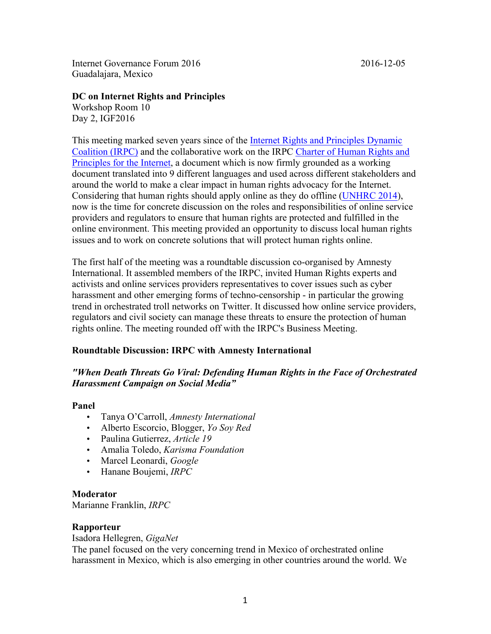Internet Governance Forum 2016 2016-12-05 Guadalajara, Mexico

#### **DC on Internet Rights and Principles**

Workshop Room 10 Day 2, IGF2016

This meeting marked seven years since of the Internet Rights and Principles Dynamic Coalition (IRPC) and the collaborative work on the IRPC Charter of Human Rights and Principles for the Internet, a document which is now firmly grounded as a working document translated into 9 different languages and used across different stakeholders and around the world to make a clear impact in human rights advocacy for the Internet. Considering that human rights should apply online as they do offline (UNHRC 2014), now is the time for concrete discussion on the roles and responsibilities of online service providers and regulators to ensure that human rights are protected and fulfilled in the online environment. This meeting provided an opportunity to discuss local human rights issues and to work on concrete solutions that will protect human rights online.

The first half of the meeting was a roundtable discussion co-organised by Amnesty International. It assembled members of the IRPC, invited Human Rights experts and activists and online services providers representatives to cover issues such as cyber harassment and other emerging forms of techno-censorship - in particular the growing trend in orchestrated troll networks on Twitter. It discussed how online service providers, regulators and civil society can manage these threats to ensure the protection of human rights online. The meeting rounded off with the IRPC's Business Meeting.

### **Roundtable Discussion: IRPC with Amnesty International**

### *"When Death Threats Go Viral: Defending Human Rights in the Face of Orchestrated Harassment Campaign on Social Media"*

#### **Panel**

- Tanya O'Carroll, *Amnesty International*
- Alberto Escorcio, Blogger, *Yo Soy Red*
- Paulina Gutierrez, *Article 19*
- Amalia Toledo, *Karisma Foundation*
- Marcel Leonardi, *Google*
- Hanane Boujemi, *IRPC*

#### **Moderator**

Marianne Franklin, *IRPC*

#### **Rapporteur**

Isadora Hellegren, *GigaNet*

The panel focused on the very concerning trend in Mexico of orchestrated online harassment in Mexico, which is also emerging in other countries around the world. We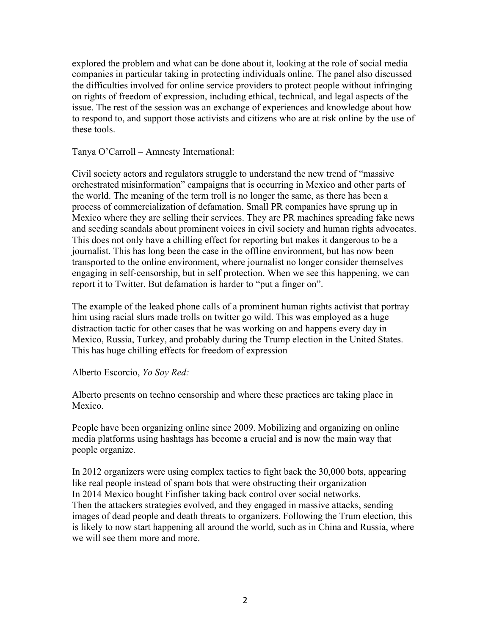explored the problem and what can be done about it, looking at the role of social media companies in particular taking in protecting individuals online. The panel also discussed the difficulties involved for online service providers to protect people without infringing on rights of freedom of expression, including ethical, technical, and legal aspects of the issue. The rest of the session was an exchange of experiences and knowledge about how to respond to, and support those activists and citizens who are at risk online by the use of these tools.

Tanya O'Carroll – Amnesty International:

Civil society actors and regulators struggle to understand the new trend of "massive orchestrated misinformation" campaigns that is occurring in Mexico and other parts of the world. The meaning of the term troll is no longer the same, as there has been a process of commercialization of defamation. Small PR companies have sprung up in Mexico where they are selling their services. They are PR machines spreading fake news and seeding scandals about prominent voices in civil society and human rights advocates. This does not only have a chilling effect for reporting but makes it dangerous to be a journalist. This has long been the case in the offline environment, but has now been transported to the online environment, where journalist no longer consider themselves engaging in self-censorship, but in self protection. When we see this happening, we can report it to Twitter. But defamation is harder to "put a finger on".

The example of the leaked phone calls of a prominent human rights activist that portray him using racial slurs made trolls on twitter go wild. This was employed as a huge distraction tactic for other cases that he was working on and happens every day in Mexico, Russia, Turkey, and probably during the Trump election in the United States. This has huge chilling effects for freedom of expression

Alberto Escorcio, *Yo Soy Red:*

Alberto presents on techno censorship and where these practices are taking place in Mexico.

People have been organizing online since 2009. Mobilizing and organizing on online media platforms using hashtags has become a crucial and is now the main way that people organize.

In 2012 organizers were using complex tactics to fight back the 30,000 bots, appearing like real people instead of spam bots that were obstructing their organization In 2014 Mexico bought Finfisher taking back control over social networks. Then the attackers strategies evolved, and they engaged in massive attacks, sending images of dead people and death threats to organizers. Following the Trum election, this is likely to now start happening all around the world, such as in China and Russia, where we will see them more and more.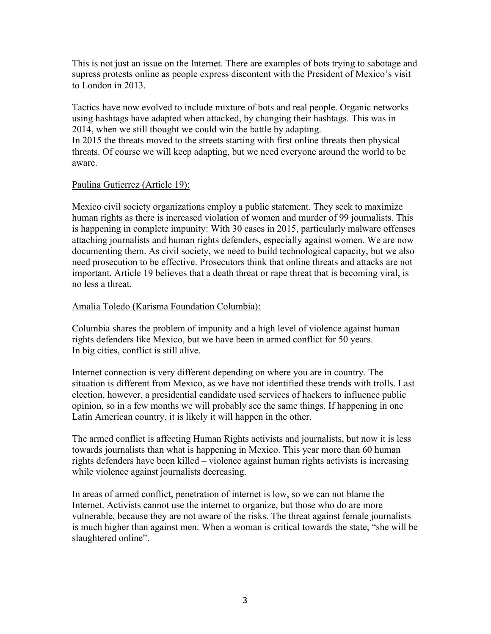This is not just an issue on the Internet. There are examples of bots trying to sabotage and supress protests online as people express discontent with the President of Mexico's visit to London in 2013.

Tactics have now evolved to include mixture of bots and real people. Organic networks using hashtags have adapted when attacked, by changing their hashtags. This was in 2014, when we still thought we could win the battle by adapting. In 2015 the threats moved to the streets starting with first online threats then physical threats. Of course we will keep adapting, but we need everyone around the world to be aware.

### Paulina Gutierrez (Article 19):

Mexico civil society organizations employ a public statement. They seek to maximize human rights as there is increased violation of women and murder of 99 journalists. This is happening in complete impunity: With 30 cases in 2015, particularly malware offenses attaching journalists and human rights defenders, especially against women. We are now documenting them. As civil society, we need to build technological capacity, but we also need prosecution to be effective. Prosecutors think that online threats and attacks are not important. Article 19 believes that a death threat or rape threat that is becoming viral, is no less a threat.

### Amalia Toledo (Karisma Foundation Columbia):

Columbia shares the problem of impunity and a high level of violence against human rights defenders like Mexico, but we have been in armed conflict for 50 years. In big cities, conflict is still alive.

Internet connection is very different depending on where you are in country. The situation is different from Mexico, as we have not identified these trends with trolls. Last election, however, a presidential candidate used services of hackers to influence public opinion, so in a few months we will probably see the same things. If happening in one Latin American country, it is likely it will happen in the other.

The armed conflict is affecting Human Rights activists and journalists, but now it is less towards journalists than what is happening in Mexico. This year more than 60 human rights defenders have been killed – violence against human rights activists is increasing while violence against journalists decreasing.

In areas of armed conflict, penetration of internet is low, so we can not blame the Internet. Activists cannot use the internet to organize, but those who do are more vulnerable, because they are not aware of the risks. The threat against female journalists is much higher than against men. When a woman is critical towards the state, "she will be slaughtered online".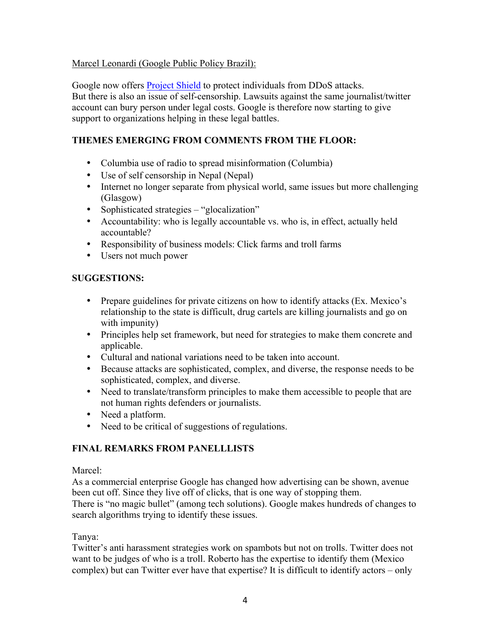### Marcel Leonardi (Google Public Policy Brazil):

Google now offers Project Shield to protect individuals from DDoS attacks. But there is also an issue of self-censorship. Lawsuits against the same journalist/twitter account can bury person under legal costs. Google is therefore now starting to give support to organizations helping in these legal battles.

# **THEMES EMERGING FROM COMMENTS FROM THE FLOOR:**

- Columbia use of radio to spread misinformation (Columbia)
- Use of self censorship in Nepal (Nepal)
- Internet no longer separate from physical world, same issues but more challenging (Glasgow)
- Sophisticated strategies "glocalization"
- Accountability: who is legally accountable vs. who is, in effect, actually held accountable?
- Responsibility of business models: Click farms and troll farms
- Users not much power

## **SUGGESTIONS:**

- Prepare guidelines for private citizens on how to identify attacks (Ex. Mexico's relationship to the state is difficult, drug cartels are killing journalists and go on with impunity)
- Principles help set framework, but need for strategies to make them concrete and applicable.
- Cultural and national variations need to be taken into account.
- Because attacks are sophisticated, complex, and diverse, the response needs to be sophisticated, complex, and diverse.
- Need to translate/transform principles to make them accessible to people that are not human rights defenders or journalists.
- Need a platform.
- Need to be critical of suggestions of regulations.

## **FINAL REMARKS FROM PANELLLISTS**

### Marcel:

As a commercial enterprise Google has changed how advertising can be shown, avenue been cut off. Since they live off of clicks, that is one way of stopping them. There is "no magic bullet" (among tech solutions). Google makes hundreds of changes to search algorithms trying to identify these issues.

## Tanya:

Twitter's anti harassment strategies work on spambots but not on trolls. Twitter does not want to be judges of who is a troll. Roberto has the expertise to identify them (Mexico complex) but can Twitter ever have that expertise? It is difficult to identify actors – only